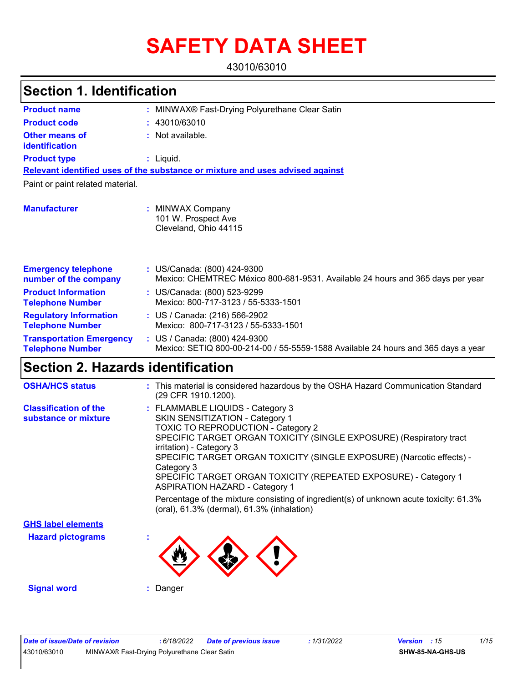# **SAFETY DATA SHEET**

43010/63010

#### MINWAX® Fast-Drying Polyurethane Clear Satin **: :** Not available. Liquid. **:** US/Canada: (800) 424-9300 **:** Mexico: CHEMTREC México 800-681-9531. Available 24 hours and 365 days per year **Product name Other means of identification Product type Emergency telephone number of the company Section 1. Identification Manufacturer :** MINWAX Company 101 W. Prospect Ave Cleveland, Ohio 44115 **Relevant identified uses of the substance or mixture and uses advised against** Paint or paint related material. **Product code :** 43010/63010 **Product Information Telephone Number :** US/Canada: (800) 523-9299 Mexico: 800-717-3123 / 55-5333-1501 **Regulatory Information Telephone Number :** US / Canada: (216) 566-2902 Mexico: 800-717-3123 / 55-5333-1501 **Transportation Emergency Telephone Number :** US / Canada: (800) 424-9300 Mexico: SETIQ 800-00-214-00 / 55-5559-1588 Available 24 hours and 365 days a year **Section 2. Hazards identification**

| <b>OSHA/HCS status</b>                               | : This material is considered hazardous by the OSHA Hazard Communication Standard<br>(29 CFR 1910.1200).                                                                                                                                                                                                                                                                                                               |
|------------------------------------------------------|------------------------------------------------------------------------------------------------------------------------------------------------------------------------------------------------------------------------------------------------------------------------------------------------------------------------------------------------------------------------------------------------------------------------|
| <b>Classification of the</b><br>substance or mixture | : FLAMMABLE LIQUIDS - Category 3<br>SKIN SENSITIZATION - Category 1<br><b>TOXIC TO REPRODUCTION - Category 2</b><br>SPECIFIC TARGET ORGAN TOXICITY (SINGLE EXPOSURE) (Respiratory tract<br>irritation) - Category 3<br>SPECIFIC TARGET ORGAN TOXICITY (SINGLE EXPOSURE) (Narcotic effects) -<br>Category 3<br>SPECIFIC TARGET ORGAN TOXICITY (REPEATED EXPOSURE) - Category 1<br><b>ASPIRATION HAZARD - Category 1</b> |
|                                                      | Percentage of the mixture consisting of ingredient(s) of unknown acute toxicity: 61.3%<br>(oral), 61.3% (dermal), 61.3% (inhalation)                                                                                                                                                                                                                                                                                   |
| <b>GHS label elements</b>                            |                                                                                                                                                                                                                                                                                                                                                                                                                        |
| <b>Hazard pictograms</b>                             | ×.                                                                                                                                                                                                                                                                                                                                                                                                                     |

**Signal word :** Danger

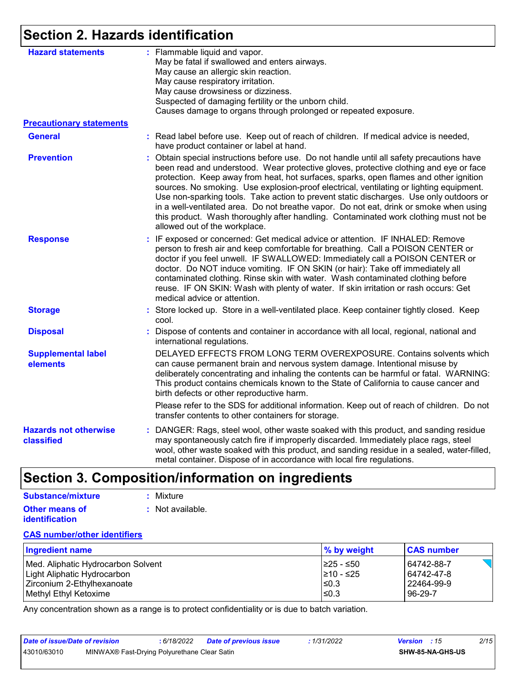# **Section 2. Hazards identification**

| <b>Hazard statements</b>                   | : Flammable liquid and vapor.<br>May be fatal if swallowed and enters airways.<br>May cause an allergic skin reaction.<br>May cause respiratory irritation.<br>May cause drowsiness or dizziness.<br>Suspected of damaging fertility or the unborn child.<br>Causes damage to organs through prolonged or repeated exposure.                                                                                                                                                                                                                                                                                                                                                        |
|--------------------------------------------|-------------------------------------------------------------------------------------------------------------------------------------------------------------------------------------------------------------------------------------------------------------------------------------------------------------------------------------------------------------------------------------------------------------------------------------------------------------------------------------------------------------------------------------------------------------------------------------------------------------------------------------------------------------------------------------|
| <b>Precautionary statements</b>            |                                                                                                                                                                                                                                                                                                                                                                                                                                                                                                                                                                                                                                                                                     |
| <b>General</b>                             | : Read label before use. Keep out of reach of children. If medical advice is needed,<br>have product container or label at hand.                                                                                                                                                                                                                                                                                                                                                                                                                                                                                                                                                    |
| <b>Prevention</b>                          | : Obtain special instructions before use. Do not handle until all safety precautions have<br>been read and understood. Wear protective gloves, protective clothing and eye or face<br>protection. Keep away from heat, hot surfaces, sparks, open flames and other ignition<br>sources. No smoking. Use explosion-proof electrical, ventilating or lighting equipment.<br>Use non-sparking tools. Take action to prevent static discharges. Use only outdoors or<br>in a well-ventilated area. Do not breathe vapor. Do not eat, drink or smoke when using<br>this product. Wash thoroughly after handling. Contaminated work clothing must not be<br>allowed out of the workplace. |
| <b>Response</b>                            | : IF exposed or concerned: Get medical advice or attention. IF INHALED: Remove<br>person to fresh air and keep comfortable for breathing. Call a POISON CENTER or<br>doctor if you feel unwell. IF SWALLOWED: Immediately call a POISON CENTER or<br>doctor. Do NOT induce vomiting. IF ON SKIN (or hair): Take off immediately all<br>contaminated clothing. Rinse skin with water. Wash contaminated clothing before<br>reuse. IF ON SKIN: Wash with plenty of water. If skin irritation or rash occurs: Get<br>medical advice or attention.                                                                                                                                      |
| <b>Storage</b>                             | : Store locked up. Store in a well-ventilated place. Keep container tightly closed. Keep<br>cool.                                                                                                                                                                                                                                                                                                                                                                                                                                                                                                                                                                                   |
| <b>Disposal</b>                            | : Dispose of contents and container in accordance with all local, regional, national and<br>international regulations.                                                                                                                                                                                                                                                                                                                                                                                                                                                                                                                                                              |
| <b>Supplemental label</b><br>elements      | DELAYED EFFECTS FROM LONG TERM OVEREXPOSURE. Contains solvents which<br>can cause permanent brain and nervous system damage. Intentional misuse by<br>deliberately concentrating and inhaling the contents can be harmful or fatal. WARNING:<br>This product contains chemicals known to the State of California to cause cancer and<br>birth defects or other reproductive harm.                                                                                                                                                                                                                                                                                                   |
|                                            | Please refer to the SDS for additional information. Keep out of reach of children. Do not<br>transfer contents to other containers for storage.                                                                                                                                                                                                                                                                                                                                                                                                                                                                                                                                     |
| <b>Hazards not otherwise</b><br>classified | : DANGER: Rags, steel wool, other waste soaked with this product, and sanding residue<br>may spontaneously catch fire if improperly discarded. Immediately place rags, steel<br>wool, other waste soaked with this product, and sanding residue in a sealed, water-filled,<br>metal container. Dispose of in accordance with local fire regulations.                                                                                                                                                                                                                                                                                                                                |

# **Section 3. Composition/information on ingredients**

| Substance/mixture     | : Mixture        |
|-----------------------|------------------|
| <b>Other means of</b> | : Not available. |
| <i>identification</i> |                  |

#### **CAS number/other identifiers**

| <b>Ingredient name</b>             | $\%$ by weight  | <b>CAS number</b> |
|------------------------------------|-----------------|-------------------|
| Med. Aliphatic Hydrocarbon Solvent | I≥25 - ≤50      | 64742-88-7        |
| Light Aliphatic Hydrocarbon        | $\geq 10 - 525$ | 64742-47-8        |
| Zirconium 2-Ethylhexanoate         | $\leq$ 0.3      | l 22464-99-9      |
| Methyl Ethyl Ketoxime              | $\leq$ 0.3      | 96-29-7           |

Any concentration shown as a range is to protect confidentiality or is due to batch variation.

| Date of issue/Date of revision |                                              | 6/18/2022 | Date of previous issue | : 1/31/2022 | <b>Version</b> : 15 |                  | 2/15 |
|--------------------------------|----------------------------------------------|-----------|------------------------|-------------|---------------------|------------------|------|
| 43010/63010                    | MINWAX® Fast-Drying Polyurethane Clear Satin |           |                        |             |                     | SHW-85-NA-GHS-US |      |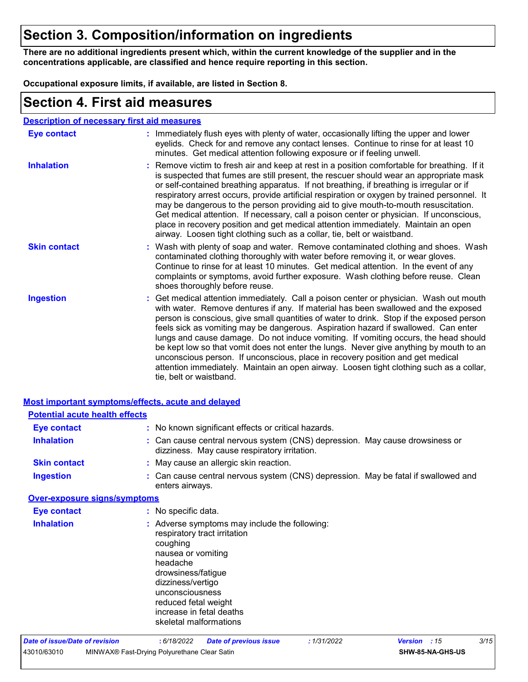# **Section 3. Composition/information on ingredients**

**There are no additional ingredients present which, within the current knowledge of the supplier and in the concentrations applicable, are classified and hence require reporting in this section.**

**Occupational exposure limits, if available, are listed in Section 8.**

### **Section 4. First aid measures**

#### **Description of necessary first aid measures**

| <b>Eye contact</b>  | : Immediately flush eyes with plenty of water, occasionally lifting the upper and lower<br>eyelids. Check for and remove any contact lenses. Continue to rinse for at least 10<br>minutes. Get medical attention following exposure or if feeling unwell.                                                                                                                                                                                                                                                                                                                                                                                                                                                                                               |
|---------------------|---------------------------------------------------------------------------------------------------------------------------------------------------------------------------------------------------------------------------------------------------------------------------------------------------------------------------------------------------------------------------------------------------------------------------------------------------------------------------------------------------------------------------------------------------------------------------------------------------------------------------------------------------------------------------------------------------------------------------------------------------------|
| <b>Inhalation</b>   | : Remove victim to fresh air and keep at rest in a position comfortable for breathing. If it<br>is suspected that fumes are still present, the rescuer should wear an appropriate mask<br>or self-contained breathing apparatus. If not breathing, if breathing is irregular or if<br>respiratory arrest occurs, provide artificial respiration or oxygen by trained personnel. It<br>may be dangerous to the person providing aid to give mouth-to-mouth resuscitation.<br>Get medical attention. If necessary, call a poison center or physician. If unconscious,<br>place in recovery position and get medical attention immediately. Maintain an open<br>airway. Loosen tight clothing such as a collar, tie, belt or waistband.                    |
| <b>Skin contact</b> | : Wash with plenty of soap and water. Remove contaminated clothing and shoes. Wash<br>contaminated clothing thoroughly with water before removing it, or wear gloves.<br>Continue to rinse for at least 10 minutes. Get medical attention. In the event of any<br>complaints or symptoms, avoid further exposure. Wash clothing before reuse. Clean<br>shoes thoroughly before reuse.                                                                                                                                                                                                                                                                                                                                                                   |
| <b>Ingestion</b>    | : Get medical attention immediately. Call a poison center or physician. Wash out mouth<br>with water. Remove dentures if any. If material has been swallowed and the exposed<br>person is conscious, give small quantities of water to drink. Stop if the exposed person<br>feels sick as vomiting may be dangerous. Aspiration hazard if swallowed. Can enter<br>lungs and cause damage. Do not induce vomiting. If vomiting occurs, the head should<br>be kept low so that vomit does not enter the lungs. Never give anything by mouth to an<br>unconscious person. If unconscious, place in recovery position and get medical<br>attention immediately. Maintain an open airway. Loosen tight clothing such as a collar,<br>tie, belt or waistband. |

| <b>Most important symptoms/effects, acute and delayed</b> |                                                                                                                                                                                                                                                                         |
|-----------------------------------------------------------|-------------------------------------------------------------------------------------------------------------------------------------------------------------------------------------------------------------------------------------------------------------------------|
| <b>Potential acute health effects</b>                     |                                                                                                                                                                                                                                                                         |
| <b>Eye contact</b>                                        | : No known significant effects or critical hazards.                                                                                                                                                                                                                     |
| <b>Inhalation</b>                                         | : Can cause central nervous system (CNS) depression. May cause drowsiness or<br>dizziness. May cause respiratory irritation.                                                                                                                                            |
| <b>Skin contact</b>                                       | : May cause an allergic skin reaction.                                                                                                                                                                                                                                  |
| <b>Ingestion</b>                                          | : Can cause central nervous system (CNS) depression. May be fatal if swallowed and<br>enters airways.                                                                                                                                                                   |
| <b>Over-exposure signs/symptoms</b>                       |                                                                                                                                                                                                                                                                         |
| <b>Eye contact</b>                                        | : No specific data.                                                                                                                                                                                                                                                     |
| <b>Inhalation</b>                                         | : Adverse symptoms may include the following:<br>respiratory tract irritation<br>coughing<br>nausea or vomiting<br>headache<br>drowsiness/fatigue<br>dizziness/vertigo<br>unconsciousness<br>reduced fetal weight<br>increase in fetal deaths<br>skeletal malformations |
| Date of issue/Date of revision                            | 3/15<br>: 1/31/2022<br>: 6/18/2022<br><b>Date of previous issue</b><br><b>Version</b><br>: 15                                                                                                                                                                           |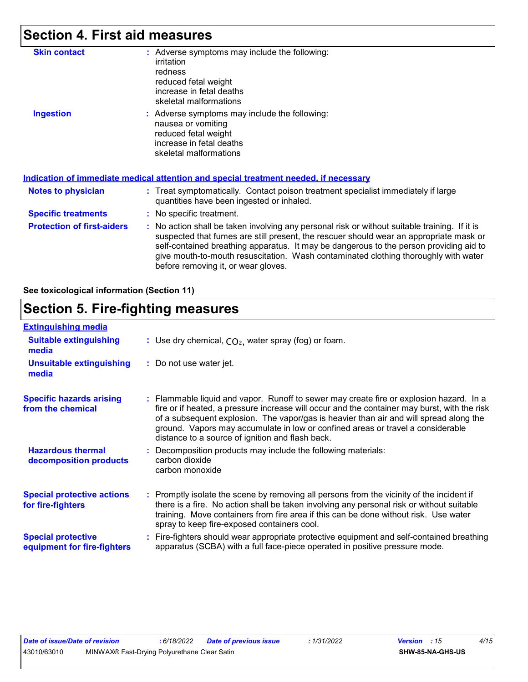# **Section 4. First aid measures**

| <b>Skin contact</b>               | : Adverse symptoms may include the following:<br>irritation<br>redness<br>reduced fetal weight<br>increase in fetal deaths<br>skeletal malformations                                                                                                                                                                                                                                                            |
|-----------------------------------|-----------------------------------------------------------------------------------------------------------------------------------------------------------------------------------------------------------------------------------------------------------------------------------------------------------------------------------------------------------------------------------------------------------------|
| <b>Ingestion</b>                  | : Adverse symptoms may include the following:<br>nausea or vomiting<br>reduced fetal weight<br>increase in fetal deaths<br>skeletal malformations<br><u>Indication of immediate medical attention and special treatment needed, if necessary</u>                                                                                                                                                                |
|                                   |                                                                                                                                                                                                                                                                                                                                                                                                                 |
| Notes to physician                | : Treat symptomatically. Contact poison treatment specialist immediately if large<br>quantities have been ingested or inhaled.                                                                                                                                                                                                                                                                                  |
| <b>Specific treatments</b>        | : No specific treatment.                                                                                                                                                                                                                                                                                                                                                                                        |
| <b>Protection of first-aiders</b> | : No action shall be taken involving any personal risk or without suitable training. If it is<br>suspected that fumes are still present, the rescuer should wear an appropriate mask or<br>self-contained breathing apparatus. It may be dangerous to the person providing aid to<br>give mouth-to-mouth resuscitation. Wash contaminated clothing thoroughly with water<br>before removing it, or wear gloves. |

**See toxicological information (Section 11)**

### **Section 5. Fire-fighting measures**

| <b>Extinguishing media</b>                               |                                                                                                                                                                                                                                                                                                                                                                                                                          |
|----------------------------------------------------------|--------------------------------------------------------------------------------------------------------------------------------------------------------------------------------------------------------------------------------------------------------------------------------------------------------------------------------------------------------------------------------------------------------------------------|
| <b>Suitable extinguishing</b><br>media                   | : Use dry chemical, $CO2$ , water spray (fog) or foam.                                                                                                                                                                                                                                                                                                                                                                   |
| <b>Unsuitable extinguishing</b><br>media                 | : Do not use water jet.                                                                                                                                                                                                                                                                                                                                                                                                  |
| <b>Specific hazards arising</b><br>from the chemical     | : Flammable liquid and vapor. Runoff to sewer may create fire or explosion hazard. In a<br>fire or if heated, a pressure increase will occur and the container may burst, with the risk<br>of a subsequent explosion. The vapor/gas is heavier than air and will spread along the<br>ground. Vapors may accumulate in low or confined areas or travel a considerable<br>distance to a source of ignition and flash back. |
| <b>Hazardous thermal</b><br>decomposition products       | Decomposition products may include the following materials:<br>carbon dioxide<br>carbon monoxide                                                                                                                                                                                                                                                                                                                         |
| <b>Special protective actions</b><br>for fire-fighters   | : Promptly isolate the scene by removing all persons from the vicinity of the incident if<br>there is a fire. No action shall be taken involving any personal risk or without suitable<br>training. Move containers from fire area if this can be done without risk. Use water<br>spray to keep fire-exposed containers cool.                                                                                            |
| <b>Special protective</b><br>equipment for fire-fighters | Fire-fighters should wear appropriate protective equipment and self-contained breathing<br>apparatus (SCBA) with a full face-piece operated in positive pressure mode.                                                                                                                                                                                                                                                   |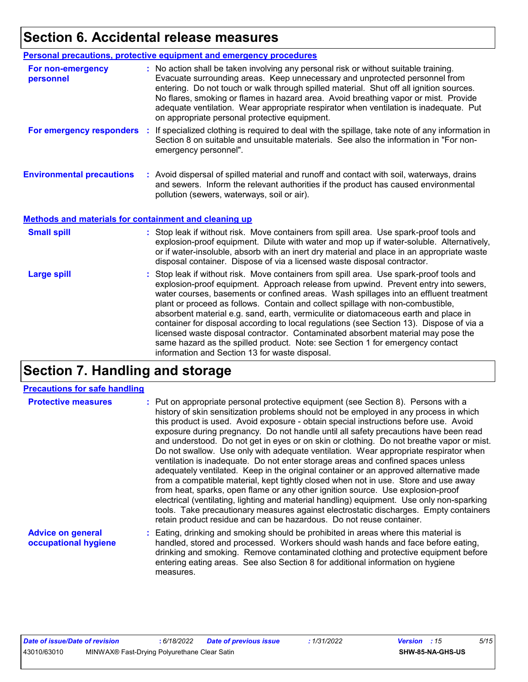# **Section 6. Accidental release measures**

|                                                              | Personal precautions, protective equipment and emergency procedures                                                                                                                                                                                                                                                                                                                                                                                                                             |
|--------------------------------------------------------------|-------------------------------------------------------------------------------------------------------------------------------------------------------------------------------------------------------------------------------------------------------------------------------------------------------------------------------------------------------------------------------------------------------------------------------------------------------------------------------------------------|
| For non-emergency<br>personnel                               | : No action shall be taken involving any personal risk or without suitable training.<br>Evacuate surrounding areas. Keep unnecessary and unprotected personnel from<br>entering. Do not touch or walk through spilled material. Shut off all ignition sources.<br>No flares, smoking or flames in hazard area. Avoid breathing vapor or mist. Provide<br>adequate ventilation. Wear appropriate respirator when ventilation is inadequate. Put<br>on appropriate personal protective equipment. |
| For emergency responders                                     | : If specialized clothing is required to deal with the spillage, take note of any information in<br>Section 8 on suitable and unsuitable materials. See also the information in "For non-<br>emergency personnel".                                                                                                                                                                                                                                                                              |
| <b>Environmental precautions</b>                             | : Avoid dispersal of spilled material and runoff and contact with soil, waterways, drains<br>and sewers. Inform the relevant authorities if the product has caused environmental<br>pollution (sewers, waterways, soil or air).                                                                                                                                                                                                                                                                 |
| <b>Methods and materials for containment and cleaning up</b> |                                                                                                                                                                                                                                                                                                                                                                                                                                                                                                 |
| <b>Small spill</b>                                           | : Stop leak if without risk. Move containers from spill area. Use spark-proof tools and<br>explosion-proof equipment. Dilute with water and mop up if water-soluble. Alternatively,<br>or if water-insoluble, absorb with an inert dry material and place in an appropriate waste                                                                                                                                                                                                               |
|                                                              | disposal container. Dispose of via a licensed waste disposal contractor.                                                                                                                                                                                                                                                                                                                                                                                                                        |

# **Section 7. Handling and storage**

#### **Precautions for safe handling**

| <b>Protective measures</b>                       | : Put on appropriate personal protective equipment (see Section 8). Persons with a<br>history of skin sensitization problems should not be employed in any process in which<br>this product is used. Avoid exposure - obtain special instructions before use. Avoid<br>exposure during pregnancy. Do not handle until all safety precautions have been read<br>and understood. Do not get in eyes or on skin or clothing. Do not breathe vapor or mist.<br>Do not swallow. Use only with adequate ventilation. Wear appropriate respirator when<br>ventilation is inadequate. Do not enter storage areas and confined spaces unless<br>adequately ventilated. Keep in the original container or an approved alternative made<br>from a compatible material, kept tightly closed when not in use. Store and use away<br>from heat, sparks, open flame or any other ignition source. Use explosion-proof<br>electrical (ventilating, lighting and material handling) equipment. Use only non-sparking<br>tools. Take precautionary measures against electrostatic discharges. Empty containers<br>retain product residue and can be hazardous. Do not reuse container. |
|--------------------------------------------------|----------------------------------------------------------------------------------------------------------------------------------------------------------------------------------------------------------------------------------------------------------------------------------------------------------------------------------------------------------------------------------------------------------------------------------------------------------------------------------------------------------------------------------------------------------------------------------------------------------------------------------------------------------------------------------------------------------------------------------------------------------------------------------------------------------------------------------------------------------------------------------------------------------------------------------------------------------------------------------------------------------------------------------------------------------------------------------------------------------------------------------------------------------------------|
| <b>Advice on general</b><br>occupational hygiene | : Eating, drinking and smoking should be prohibited in areas where this material is<br>handled, stored and processed. Workers should wash hands and face before eating,<br>drinking and smoking. Remove contaminated clothing and protective equipment before<br>entering eating areas. See also Section 8 for additional information on hygiene                                                                                                                                                                                                                                                                                                                                                                                                                                                                                                                                                                                                                                                                                                                                                                                                                     |

measures.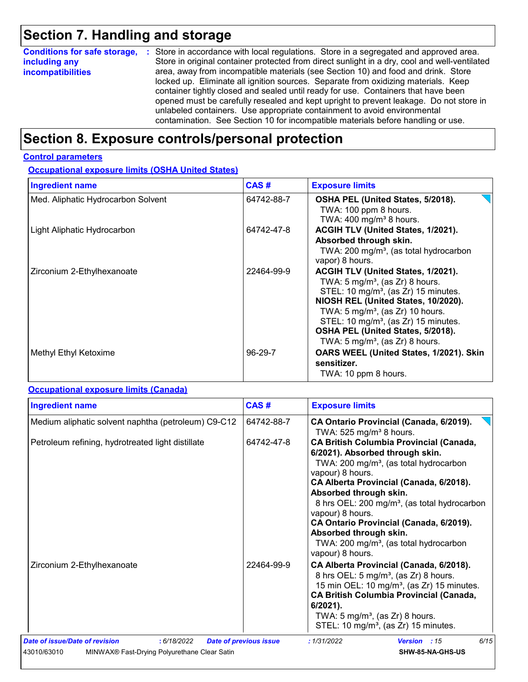# **Section 7. Handling and storage**

| <b>Conditions for safe storage,</b> | : Store in accordance with local regulations. Store in a segregated and approved area.        |
|-------------------------------------|-----------------------------------------------------------------------------------------------|
| including any                       | Store in original container protected from direct sunlight in a dry, cool and well-ventilated |
| <i>incompatibilities</i>            | area, away from incompatible materials (see Section 10) and food and drink. Store             |
|                                     | locked up. Eliminate all ignition sources. Separate from oxidizing materials. Keep            |
|                                     | container tightly closed and sealed until ready for use. Containers that have been            |
|                                     | opened must be carefully resealed and kept upright to prevent leakage. Do not store in        |
|                                     | unlabeled containers. Use appropriate containment to avoid environmental                      |
|                                     | contamination. See Section 10 for incompatible materials before handling or use.              |

# **Section 8. Exposure controls/personal protection**

#### **Control parameters**

**Occupational exposure limits (OSHA United States)**

| <b>Ingredient name</b>             | CAS#       | <b>Exposure limits</b>                                                                                                                                                                                                                                                                                                                                             |
|------------------------------------|------------|--------------------------------------------------------------------------------------------------------------------------------------------------------------------------------------------------------------------------------------------------------------------------------------------------------------------------------------------------------------------|
| Med. Aliphatic Hydrocarbon Solvent | 64742-88-7 | OSHA PEL (United States, 5/2018).<br>TWA: 100 ppm 8 hours.<br>TWA: $400$ mg/m <sup>3</sup> 8 hours.                                                                                                                                                                                                                                                                |
| Light Aliphatic Hydrocarbon        | 64742-47-8 | ACGIH TLV (United States, 1/2021).<br>Absorbed through skin.<br>TWA: 200 mg/m <sup>3</sup> , (as total hydrocarbon<br>vapor) 8 hours.                                                                                                                                                                                                                              |
| Zirconium 2-Ethylhexanoate         | 22464-99-9 | ACGIH TLV (United States, 1/2021).<br>TWA: $5 \text{ mg/m}^3$ , (as Zr) 8 hours.<br>STEL: 10 mg/m <sup>3</sup> , (as Zr) 15 minutes.<br>NIOSH REL (United States, 10/2020).<br>TWA: $5 \text{ mg/m}^3$ , (as Zr) 10 hours.<br>STEL: 10 mg/m <sup>3</sup> , (as Zr) 15 minutes.<br>OSHA PEL (United States, 5/2018).<br>TWA: 5 mg/m <sup>3</sup> , (as Zr) 8 hours. |
| Methyl Ethyl Ketoxime              | $96-29-7$  | OARS WEEL (United States, 1/2021). Skin<br>sensitizer.<br>TWA: 10 ppm 8 hours.                                                                                                                                                                                                                                                                                     |

#### **Occupational exposure limits (Canada)**

| <b>Ingredient name</b>                                                                                       | CAS#                          | <b>Exposure limits</b><br>CA Ontario Provincial (Canada, 6/2019).                                                                                                                                                                                                                                                                                                                                                                                               |  |  |  |
|--------------------------------------------------------------------------------------------------------------|-------------------------------|-----------------------------------------------------------------------------------------------------------------------------------------------------------------------------------------------------------------------------------------------------------------------------------------------------------------------------------------------------------------------------------------------------------------------------------------------------------------|--|--|--|
| Medium aliphatic solvent naphtha (petroleum) C9-C12                                                          | 64742-88-7                    | TWA: 525 mg/m <sup>3</sup> 8 hours.                                                                                                                                                                                                                                                                                                                                                                                                                             |  |  |  |
| Petroleum refining, hydrotreated light distillate                                                            | 64742-47-8                    | <b>CA British Columbia Provincial (Canada,</b><br>6/2021). Absorbed through skin.<br>TWA: 200 mg/m <sup>3</sup> , (as total hydrocarbon<br>vapour) 8 hours.<br>CA Alberta Provincial (Canada, 6/2018).<br>Absorbed through skin.<br>8 hrs OEL: 200 mg/m <sup>3</sup> , (as total hydrocarbon<br>vapour) 8 hours.<br>CA Ontario Provincial (Canada, 6/2019).<br>Absorbed through skin.<br>TWA: 200 mg/m <sup>3</sup> , (as total hydrocarbon<br>vapour) 8 hours. |  |  |  |
| Zirconium 2-Ethylhexanoate                                                                                   | 22464-99-9                    | CA Alberta Provincial (Canada, 6/2018).<br>8 hrs OEL: 5 mg/m <sup>3</sup> , (as Zr) 8 hours.<br>15 min OEL: 10 mg/m <sup>3</sup> , (as Zr) 15 minutes.<br><b>CA British Columbia Provincial (Canada,</b><br>$6/2021$ ).<br>TWA: $5 \text{ mg/m}^3$ , (as Zr) 8 hours.<br>STEL: 10 mg/m <sup>3</sup> , (as Zr) 15 minutes.                                                                                                                                       |  |  |  |
| Date of issue/Date of revision<br>: 6/18/2022<br>MINWAX® Fast-Drying Polyurethane Clear Satin<br>43010/63010 | <b>Date of previous issue</b> | 6/15<br>: 1/31/2022<br>Version : 15<br>SHW-85-NA-GHS-US                                                                                                                                                                                                                                                                                                                                                                                                         |  |  |  |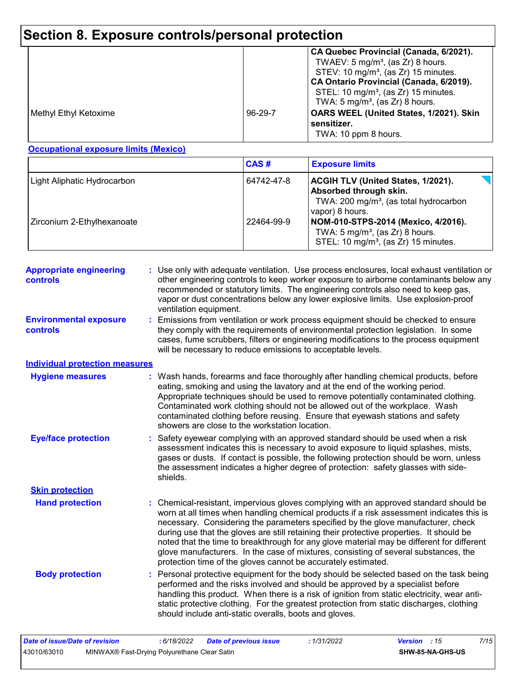# **Section 8. Exposure controls/personal protection**

|                       |         | CA Quebec Provincial (Canada, 6/2021).<br>TWAEV: $5 \text{ mg/m}^3$ , (as Zr) 8 hours.<br>STEV: 10 mg/m <sup>3</sup> , (as Zr) 15 minutes.<br>CA Ontario Provincial (Canada, 6/2019).<br>STEL: 10 mg/m <sup>3</sup> , (as Zr) 15 minutes.<br>TWA: $5 \text{ mg/m}^3$ , (as Zr) 8 hours. |
|-----------------------|---------|-----------------------------------------------------------------------------------------------------------------------------------------------------------------------------------------------------------------------------------------------------------------------------------------|
| Methyl Ethyl Ketoxime | 96-29-7 | OARS WEEL (United States, 1/2021). Skin<br>sensitizer.<br>TWA: 10 ppm 8 hours.                                                                                                                                                                                                          |

#### **Occupational exposure limits (Mexico)**

|                             | CAS#       | <b>Exposure limits</b>                                                                                                                              |
|-----------------------------|------------|-----------------------------------------------------------------------------------------------------------------------------------------------------|
| Light Aliphatic Hydrocarbon | 64742-47-8 | <b>ACGIH TLV (United States, 1/2021).</b><br><b>Absorbed through skin.</b><br>TWA: 200 mg/m <sup>3</sup> , (as total hydrocarbon<br>vapor) 8 hours. |
| Zirconium 2-Ethylhexanoate  | 22464-99-9 | NOM-010-STPS-2014 (Mexico, 4/2016).<br>TWA: $5 \text{ mg/m}^3$ , (as Zr) 8 hours.<br>STEL: 10 mg/m <sup>3</sup> , (as Zr) 15 minutes.               |

| <b>Appropriate engineering</b><br>controls | : Use only with adequate ventilation. Use process enclosures, local exhaust ventilation or<br>other engineering controls to keep worker exposure to airborne contaminants below any<br>recommended or statutory limits. The engineering controls also need to keep gas,<br>vapor or dust concentrations below any lower explosive limits. Use explosion-proof<br>ventilation equipment.                                                                                                                                                                                                                              |
|--------------------------------------------|----------------------------------------------------------------------------------------------------------------------------------------------------------------------------------------------------------------------------------------------------------------------------------------------------------------------------------------------------------------------------------------------------------------------------------------------------------------------------------------------------------------------------------------------------------------------------------------------------------------------|
| <b>Environmental exposure</b><br>controls  | Emissions from ventilation or work process equipment should be checked to ensure<br>they comply with the requirements of environmental protection legislation. In some<br>cases, fume scrubbers, filters or engineering modifications to the process equipment<br>will be necessary to reduce emissions to acceptable levels.                                                                                                                                                                                                                                                                                        |
| <b>Individual protection measures</b>      |                                                                                                                                                                                                                                                                                                                                                                                                                                                                                                                                                                                                                      |
| <b>Hygiene measures</b>                    | : Wash hands, forearms and face thoroughly after handling chemical products, before<br>eating, smoking and using the lavatory and at the end of the working period.<br>Appropriate techniques should be used to remove potentially contaminated clothing.<br>Contaminated work clothing should not be allowed out of the workplace. Wash<br>contaminated clothing before reusing. Ensure that eyewash stations and safety<br>showers are close to the workstation location.                                                                                                                                          |
| <b>Eye/face protection</b>                 | Safety eyewear complying with an approved standard should be used when a risk<br>assessment indicates this is necessary to avoid exposure to liquid splashes, mists,<br>gases or dusts. If contact is possible, the following protection should be worn, unless<br>the assessment indicates a higher degree of protection: safety glasses with side-<br>shields.                                                                                                                                                                                                                                                     |
| <b>Skin protection</b>                     |                                                                                                                                                                                                                                                                                                                                                                                                                                                                                                                                                                                                                      |
| <b>Hand protection</b>                     | Chemical-resistant, impervious gloves complying with an approved standard should be<br>worn at all times when handling chemical products if a risk assessment indicates this is<br>necessary. Considering the parameters specified by the glove manufacturer, check<br>during use that the gloves are still retaining their protective properties. It should be<br>noted that the time to breakthrough for any glove material may be different for different<br>glove manufacturers. In the case of mixtures, consisting of several substances, the<br>protection time of the gloves cannot be accurately estimated. |
| <b>Body protection</b>                     | Personal protective equipment for the body should be selected based on the task being<br>performed and the risks involved and should be approved by a specialist before<br>handling this product. When there is a risk of ignition from static electricity, wear anti-<br>static protective clothing. For the greatest protection from static discharges, clothing<br>should include anti-static overalls, boots and gloves.                                                                                                                                                                                         |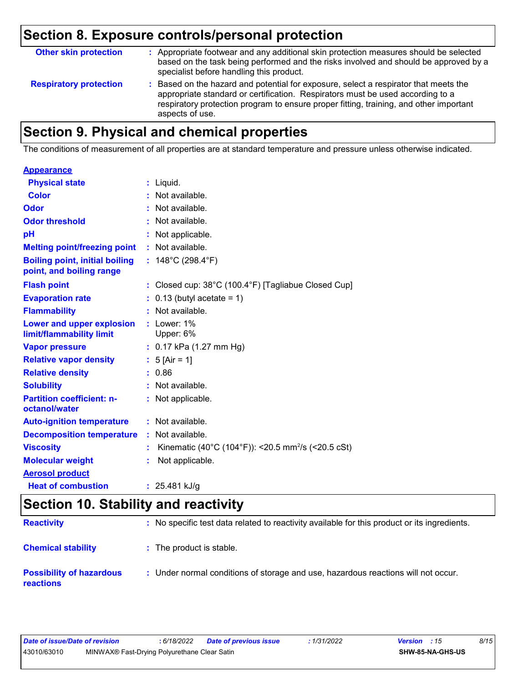# **Section 8. Exposure controls/personal protection**

| <b>Other skin protection</b>  | : Appropriate footwear and any additional skin protection measures should be selected<br>based on the task being performed and the risks involved and should be approved by a<br>specialist before handling this product.                                                           |
|-------------------------------|-------------------------------------------------------------------------------------------------------------------------------------------------------------------------------------------------------------------------------------------------------------------------------------|
| <b>Respiratory protection</b> | : Based on the hazard and potential for exposure, select a respirator that meets the<br>appropriate standard or certification. Respirators must be used according to a<br>respiratory protection program to ensure proper fitting, training, and other important<br>aspects of use. |

# **Section 9. Physical and chemical properties**

The conditions of measurement of all properties are at standard temperature and pressure unless otherwise indicated.

| <b>Appearance</b>                                                 |                                                                          |
|-------------------------------------------------------------------|--------------------------------------------------------------------------|
| <b>Physical state</b>                                             | $:$ Liquid.                                                              |
| <b>Color</b>                                                      | : Not available.                                                         |
| Odor                                                              | : Not available.                                                         |
| <b>Odor threshold</b>                                             | : Not available.                                                         |
| рH                                                                | : Not applicable.                                                        |
| <b>Melting point/freezing point</b>                               | : Not available.                                                         |
| <b>Boiling point, initial boiling</b><br>point, and boiling range | : $148^{\circ}$ C (298.4 $^{\circ}$ F)                                   |
| <b>Flash point</b>                                                | : Closed cup: $38^{\circ}$ C (100.4 $^{\circ}$ F) [Tagliabue Closed Cup] |
| <b>Evaporation rate</b>                                           | $0.13$ (butyl acetate = 1)                                               |
| <b>Flammability</b>                                               | : Not available.                                                         |
| Lower and upper explosion<br>limit/flammability limit             | : Lower: $1\%$<br>Upper: 6%                                              |
| <b>Vapor pressure</b>                                             | : $0.17$ kPa (1.27 mm Hg)                                                |
| <b>Relative vapor density</b>                                     | : $5$ [Air = 1]                                                          |
| <b>Relative density</b>                                           | : 0.86                                                                   |
| <b>Solubility</b>                                                 | : Not available.                                                         |
| <b>Partition coefficient: n-</b><br>octanol/water                 | : Not applicable.                                                        |
| <b>Auto-ignition temperature</b>                                  | $:$ Not available.                                                       |
| <b>Decomposition temperature</b>                                  | $:$ Not available.                                                       |
| <b>Viscosity</b>                                                  | Kinematic (40°C (104°F)): <20.5 mm <sup>2</sup> /s (<20.5 cSt)           |
| <b>Molecular weight</b>                                           | Not applicable.                                                          |
| <b>Aerosol product</b>                                            |                                                                          |
| <b>Heat of combustion</b>                                         | : $25.481$ kJ/g                                                          |

# **Section 10. Stability and reactivity**

| <b>Reactivity</b>                                   | : No specific test data related to reactivity available for this product or its ingredients. |
|-----------------------------------------------------|----------------------------------------------------------------------------------------------|
| <b>Chemical stability</b>                           | : The product is stable.                                                                     |
| <b>Possibility of hazardous</b><br><b>reactions</b> | : Under normal conditions of storage and use, hazardous reactions will not occur.            |

| Date of issue/Date of revision |                                              | : 6/18/2022 | Date of previous issue | : 1/31/2022 | <b>Version</b> : 15 |                  | 8/15 |
|--------------------------------|----------------------------------------------|-------------|------------------------|-------------|---------------------|------------------|------|
| 43010/63010                    | MINWAX® Fast-Drying Polyurethane Clear Satin |             |                        |             |                     | SHW-85-NA-GHS-US |      |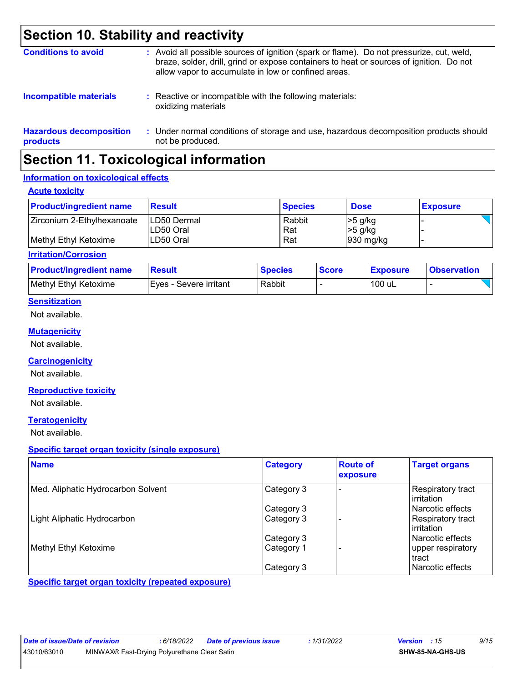# **Section 10. Stability and reactivity**

| <b>Conditions to avoid</b>                 | : Avoid all possible sources of ignition (spark or flame). Do not pressurize, cut, weld,<br>braze, solder, drill, grind or expose containers to heat or sources of ignition. Do not<br>allow vapor to accumulate in low or confined areas. |
|--------------------------------------------|--------------------------------------------------------------------------------------------------------------------------------------------------------------------------------------------------------------------------------------------|
| <b>Incompatible materials</b>              | : Reactive or incompatible with the following materials:<br>oxidizing materials                                                                                                                                                            |
| <b>Hazardous decomposition</b><br>products | : Under normal conditions of storage and use, hazardous decomposition products should<br>not be produced.                                                                                                                                  |

# **Section 11. Toxicological information**

#### **Information on toxicological effects**

#### **Acute toxicity**

| <b>Product/ingredient name</b> | <b>Result</b>                    | <b>Species</b> | <b>Dose</b>            | <b>Exposure</b> |
|--------------------------------|----------------------------------|----------------|------------------------|-----------------|
| Zirconium 2-Ethylhexanoate     | <b>LD50 Dermal</b><br>ILD50 Oral | Rabbit<br>Rat  | $>5$ g/kg<br>$>5$ g/kg |                 |
| l Methvl Ethvl Ketoxime        | ILD50 Oral                       | Rat            | $930$ mg/kg            |                 |

#### **Irritation/Corrosion**

| <b>Product/ingredient name</b> | <b>Result</b>            | <b>Species</b> | <b>Score</b> | <b>Exposure</b> | <b>Observation</b> |
|--------------------------------|--------------------------|----------------|--------------|-----------------|--------------------|
| Methyl Ethyl Ketoxime          | I Eves - Severe irritant | Rabbit         |              | 100 uL          |                    |

#### **Sensitization**

Not available.

#### **Mutagenicity**

Not available.

#### **Carcinogenicity**

Not available.

#### **Reproductive toxicity**

Not available.

#### **Teratogenicity**

Not available.

#### **Specific target organ toxicity (single exposure)**

| <b>Name</b>                        | <b>Category</b> | <b>Route of</b><br>exposure | <b>Target organs</b>              |
|------------------------------------|-----------------|-----------------------------|-----------------------------------|
| Med. Aliphatic Hydrocarbon Solvent | Category 3      |                             | Respiratory tract<br>l irritation |
|                                    | Category 3      |                             | Narcotic effects                  |
| Light Aliphatic Hydrocarbon        | Category 3      |                             | Respiratory tract<br>l irritation |
|                                    | Category 3      |                             | l Narcotic effects                |
| Methyl Ethyl Ketoxime              | Category 1      |                             | upper respiratory<br>tract        |
|                                    | Category 3      |                             | l Narcotic effects                |

**Specific target organ toxicity (repeated exposure)**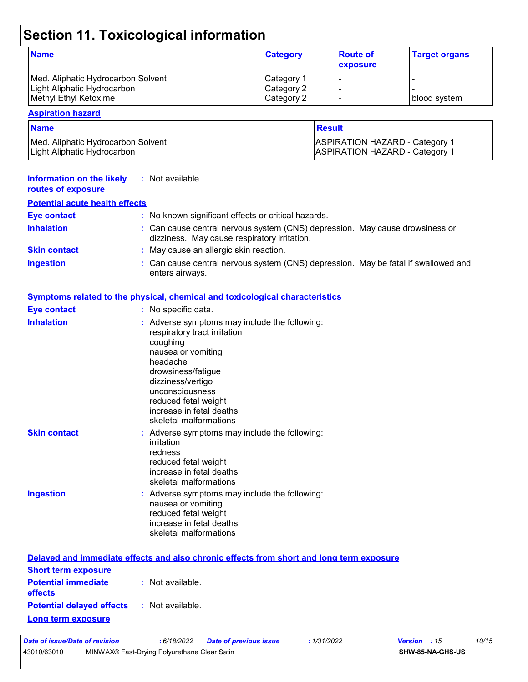# **Section 11. Toxicological information**

| <b>Name</b>                        | <b>Category</b> | <b>Route of</b><br><b>exposure</b> | <b>Target organs</b> |
|------------------------------------|-----------------|------------------------------------|----------------------|
| Med. Aliphatic Hydrocarbon Solvent | Category 1      |                                    |                      |
| Light Aliphatic Hydrocarbon        | Category 2      |                                    |                      |
| Methyl Ethyl Ketoxime              | Category 2      |                                    | I blood svstem.      |

#### **Aspiration hazard**

| <b>Name</b>                        | <b>Result</b>                         |  |
|------------------------------------|---------------------------------------|--|
| Med. Aliphatic Hydrocarbon Solvent | <b>ASPIRATION HAZARD - Category 1</b> |  |
| Light Aliphatic Hydrocarbon        | <b>ASPIRATION HAZARD - Category 1</b> |  |

| <b>Information on the likely</b><br>routes of exposure | : Not available.                                                                                                                                                                                                                                                        |
|--------------------------------------------------------|-------------------------------------------------------------------------------------------------------------------------------------------------------------------------------------------------------------------------------------------------------------------------|
| <b>Potential acute health effects</b>                  |                                                                                                                                                                                                                                                                         |
| <b>Eye contact</b>                                     | : No known significant effects or critical hazards.                                                                                                                                                                                                                     |
| <b>Inhalation</b>                                      | : Can cause central nervous system (CNS) depression. May cause drowsiness or<br>dizziness. May cause respiratory irritation.                                                                                                                                            |
| <b>Skin contact</b>                                    | : May cause an allergic skin reaction.                                                                                                                                                                                                                                  |
| <b>Ingestion</b>                                       | : Can cause central nervous system (CNS) depression. May be fatal if swallowed and<br>enters airways.                                                                                                                                                                   |
|                                                        | Symptoms related to the physical, chemical and toxicological characteristics                                                                                                                                                                                            |
| <b>Eye contact</b>                                     | : No specific data.                                                                                                                                                                                                                                                     |
| <b>Inhalation</b>                                      | : Adverse symptoms may include the following:<br>respiratory tract irritation<br>coughing<br>nausea or vomiting<br>headache<br>drowsiness/fatigue<br>dizziness/vertigo<br>unconsciousness<br>reduced fetal weight<br>increase in fetal deaths<br>skeletal malformations |
| <b>Skin contact</b>                                    | : Adverse symptoms may include the following:<br>irritation<br>redness<br>reduced fetal weight<br>increase in fetal deaths<br>skeletal malformations                                                                                                                    |
| <b>Ingestion</b>                                       | : Adverse symptoms may include the following:<br>nausea or vomiting<br>reduced fetal weight<br>increase in fetal deaths<br>skeletal malformations                                                                                                                       |
|                                                        | Delayed and immediate effects and also chronic effects from short and long term exposure                                                                                                                                                                                |
| <b>Short term exposure</b>                             |                                                                                                                                                                                                                                                                         |

| <b>Short term exposure</b>                        |                  |  |
|---------------------------------------------------|------------------|--|
| <b>Potential immediate</b><br>effects             | : Not available. |  |
| <b>Potential delayed effects : Not available.</b> |                  |  |
| Long term exposure                                |                  |  |

| Date of issue/Date of revision |                                              | : 6/18/2022 Date of previous issue | : 1/31/2022 | <b>Version</b> : 15 |                         | 10/15 |
|--------------------------------|----------------------------------------------|------------------------------------|-------------|---------------------|-------------------------|-------|
| 43010/63010                    | MINWAX® Fast-Drying Polyurethane Clear Satin |                                    |             |                     | <b>SHW-85-NA-GHS-US</b> |       |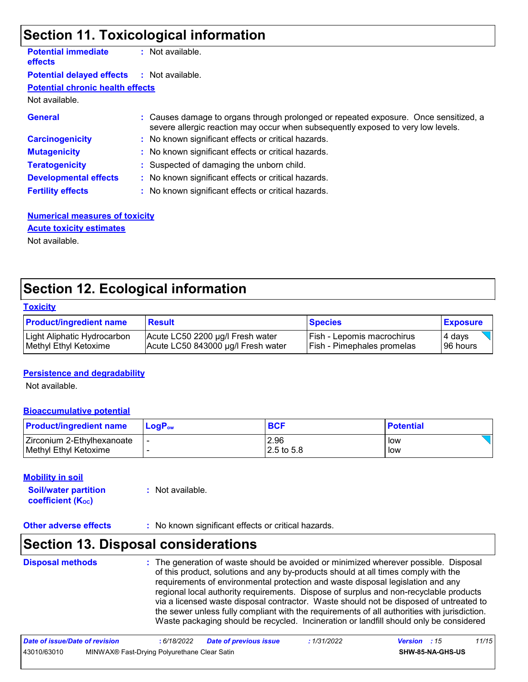# **Section 11. Toxicological information**

| <b>Potential immediate</b><br><b>effects</b> | : Not available.                                                                                                                                                         |
|----------------------------------------------|--------------------------------------------------------------------------------------------------------------------------------------------------------------------------|
| <b>Potential delayed effects</b>             | : Not available.                                                                                                                                                         |
| <b>Potential chronic health effects</b>      |                                                                                                                                                                          |
| Not available.                               |                                                                                                                                                                          |
| <b>General</b>                               | : Causes damage to organs through prolonged or repeated exposure. Once sensitized, a<br>severe allergic reaction may occur when subsequently exposed to very low levels. |
| <b>Carcinogenicity</b>                       | : No known significant effects or critical hazards.                                                                                                                      |
| <b>Mutagenicity</b>                          | : No known significant effects or critical hazards.                                                                                                                      |
| <b>Teratogenicity</b>                        | : Suspected of damaging the unborn child.                                                                                                                                |
| <b>Developmental effects</b>                 | : No known significant effects or critical hazards.                                                                                                                      |
| <b>Fertility effects</b>                     | : No known significant effects or critical hazards.                                                                                                                      |

#### **Numerical measures of toxicity** Not available. **Acute toxicity estimates**

# **Section 12. Ecological information**

#### **Toxicity**

| <b>Product/ingredient name</b> | <b>Result</b>                      | <b>Species</b>             | <b>Exposure</b> |
|--------------------------------|------------------------------------|----------------------------|-----------------|
| Light Aliphatic Hydrocarbon    | Acute LC50 2200 µg/l Fresh water   | Fish - Lepomis macrochirus | 4 days          |
| Methyl Ethyl Ketoxime          | Acute LC50 843000 µg/l Fresh water | Fish - Pimephales promelas | 196 hours       |

#### **Persistence and degradability**

Not available.

#### **Bioaccumulative potential**

| <b>Product/ingredient name</b> | <b>LogP</b> <sub>ow</sub> | <b>BCF</b>  | <b>Potential</b> |
|--------------------------------|---------------------------|-------------|------------------|
| Zirconium 2-Ethylhexanoate     |                           | 2.96        | low              |
| Methyl Ethyl Ketoxime          |                           | 12.5 to 5.8 | low              |

#### **Mobility in soil**

**Soil/water partition coefficient (KOC) :** Not available.

**Other adverse effects** : No known significant effects or critical hazards.

### **Section 13. Disposal considerations**

| <b>Disposal methods</b> | : The generation of waste should be avoided or minimized wherever possible. Disposal<br>of this product, solutions and any by-products should at all times comply with the<br>requirements of environmental protection and waste disposal legislation and any<br>regional local authority requirements. Dispose of surplus and non-recyclable products<br>via a licensed waste disposal contractor. Waste should not be disposed of untreated to<br>the sewer unless fully compliant with the requirements of all authorities with jurisdiction.<br>Waste packaging should be recycled. Incineration or landfill should only be considered |
|-------------------------|--------------------------------------------------------------------------------------------------------------------------------------------------------------------------------------------------------------------------------------------------------------------------------------------------------------------------------------------------------------------------------------------------------------------------------------------------------------------------------------------------------------------------------------------------------------------------------------------------------------------------------------------|
|                         |                                                                                                                                                                                                                                                                                                                                                                                                                                                                                                                                                                                                                                            |

| Date of issue/Date of revision |                                              | : 6/18/2022 | <b>Date of previous issue</b> | : 1/31/2022 | <b>Version</b> : 15 |                         | 11/15 |
|--------------------------------|----------------------------------------------|-------------|-------------------------------|-------------|---------------------|-------------------------|-------|
| 43010/63010                    | MINWAX® Fast-Drying Polyurethane Clear Satin |             |                               |             |                     | <b>SHW-85-NA-GHS-US</b> |       |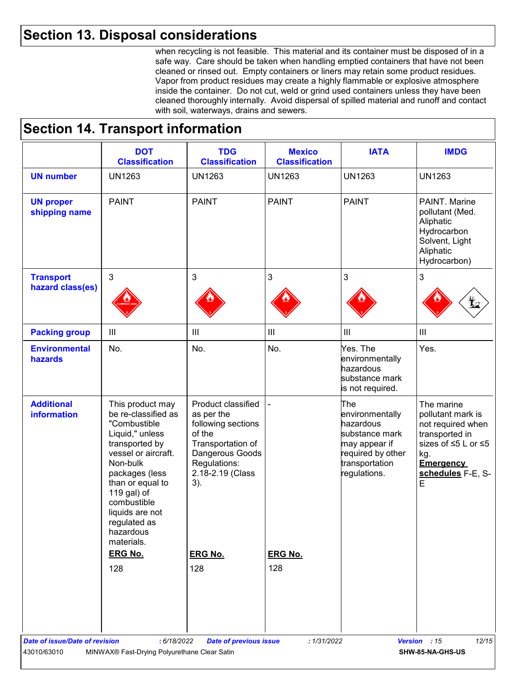### **Section 13. Disposal considerations**

when recycling is not feasible. This material and its container must be disposed of in a safe way. Care should be taken when handling emptied containers that have not been cleaned or rinsed out. Empty containers or liners may retain some product residues. Vapor from product residues may create a highly flammable or explosive atmosphere inside the container. Do not cut, weld or grind used containers unless they have been cleaned thoroughly internally. Avoid dispersal of spilled material and runoff and contact with soil, waterways, drains and sewers.

### **Section 14. Transport information**

|                                         | <b>DOT</b><br><b>Classification</b>                                                                                                                                                                                                                                                 | <b>TDG</b><br><b>Classification</b>                                                                                                                 | <b>Mexico</b><br><b>Classification</b> | <b>IATA</b>                                                                                                                   | <b>IMDG</b>                                                                                                                                                  |
|-----------------------------------------|-------------------------------------------------------------------------------------------------------------------------------------------------------------------------------------------------------------------------------------------------------------------------------------|-----------------------------------------------------------------------------------------------------------------------------------------------------|----------------------------------------|-------------------------------------------------------------------------------------------------------------------------------|--------------------------------------------------------------------------------------------------------------------------------------------------------------|
| <b>UN number</b>                        | <b>UN1263</b>                                                                                                                                                                                                                                                                       | <b>UN1263</b>                                                                                                                                       | <b>UN1263</b>                          | <b>UN1263</b>                                                                                                                 | <b>UN1263</b>                                                                                                                                                |
| <b>UN proper</b><br>shipping name       | <b>PAINT</b>                                                                                                                                                                                                                                                                        | <b>PAINT</b>                                                                                                                                        | <b>PAINT</b>                           | <b>PAINT</b>                                                                                                                  | PAINT. Marine<br>pollutant (Med.<br>Aliphatic<br>Hydrocarbon<br>Solvent, Light<br>Aliphatic<br>Hydrocarbon)                                                  |
| <b>Transport</b><br>hazard class(es)    | $\mathbf{3}$                                                                                                                                                                                                                                                                        | $\mathfrak{S}$                                                                                                                                      | $\mathbf{3}$                           | 3                                                                                                                             | 3                                                                                                                                                            |
| <b>Packing group</b>                    | $\mathbf{III}$                                                                                                                                                                                                                                                                      | $\mathop{\rm III}$                                                                                                                                  | $\mathop{\rm III}$                     | $\mathop{\rm III}$                                                                                                            | $\ensuremath{\mathsf{III}}\xspace$                                                                                                                           |
| <b>Environmental</b><br>hazards         | No.                                                                                                                                                                                                                                                                                 | No.                                                                                                                                                 | No.                                    | Yes. The<br>environmentally<br>hazardous<br>substance mark<br>is not required.                                                | Yes.                                                                                                                                                         |
| <b>Additional</b><br><b>information</b> | This product may<br>be re-classified as<br>"Combustible<br>Liquid," unless<br>transported by<br>vessel or aircraft.<br>Non-bulk<br>packages (less<br>than or equal to<br>119 gal) of<br>combustible<br>liquids are not<br>regulated as<br>hazardous<br>materials.<br><b>ERG No.</b> | Product classified<br>as per the<br>following sections<br>of the<br>Transportation of<br>Dangerous Goods<br>Regulations:<br>2.18-2.19 (Class<br>3). |                                        | The<br>environmentally<br>hazardous<br>substance mark<br>may appear if<br>required by other<br>transportation<br>regulations. | The marine<br>pollutant mark is<br>not required when<br>transported in<br>sizes of ≤5 L or ≤5<br>kg.<br><b>Emergency</b><br>schedules F-E, S-<br>$\mathsf E$ |
|                                         | 128                                                                                                                                                                                                                                                                                 | <b>ERG No.</b><br>128                                                                                                                               | <b>ERG No.</b><br>128                  |                                                                                                                               |                                                                                                                                                              |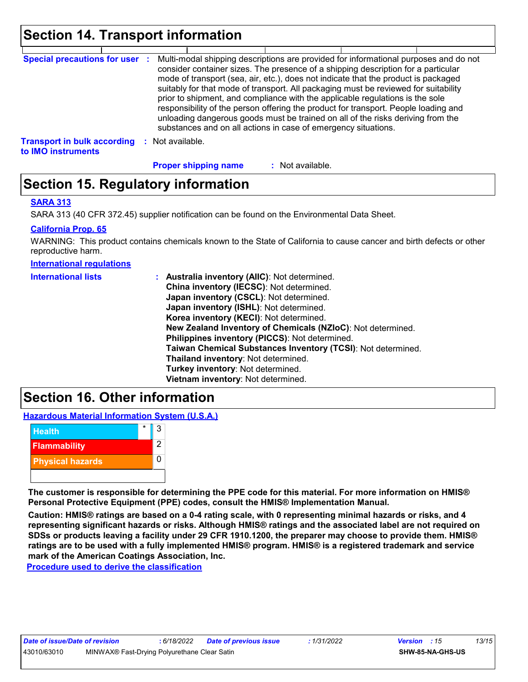# **Section 14. Transport information**

| <b>Special precautions for user :</b>                    |                      | Multi-modal shipping descriptions are provided for informational purposes and do not<br>consider container sizes. The presence of a shipping description for a particular<br>mode of transport (sea, air, etc.), does not indicate that the product is packaged<br>suitably for that mode of transport. All packaging must be reviewed for suitability<br>prior to shipment, and compliance with the applicable regulations is the sole<br>responsibility of the person offering the product for transport. People loading and<br>unloading dangerous goods must be trained on all of the risks deriving from the<br>substances and on all actions in case of emergency situations. |                  |  |  |
|----------------------------------------------------------|----------------------|-------------------------------------------------------------------------------------------------------------------------------------------------------------------------------------------------------------------------------------------------------------------------------------------------------------------------------------------------------------------------------------------------------------------------------------------------------------------------------------------------------------------------------------------------------------------------------------------------------------------------------------------------------------------------------------|------------------|--|--|
| <b>Transport in bulk according</b><br>to IMO instruments | Not available.<br>з. |                                                                                                                                                                                                                                                                                                                                                                                                                                                                                                                                                                                                                                                                                     |                  |  |  |
|                                                          |                      | <b>Proper shipping name</b>                                                                                                                                                                                                                                                                                                                                                                                                                                                                                                                                                                                                                                                         | : Not available. |  |  |

### **Section 15. Regulatory information**

#### **SARA 313**

SARA 313 (40 CFR 372.45) supplier notification can be found on the Environmental Data Sheet.

#### **California Prop. 65**

WARNING: This product contains chemicals known to the State of California to cause cancer and birth defects or other reproductive harm.

#### **International regulations**

| <b>International lists</b> | : Australia inventory (AIIC): Not determined.<br>China inventory (IECSC): Not determined.<br>Japan inventory (CSCL): Not determined.<br>Japan inventory (ISHL): Not determined.<br>Korea inventory (KECI): Not determined.<br>New Zealand Inventory of Chemicals (NZIoC): Not determined.<br>Philippines inventory (PICCS): Not determined.<br>Taiwan Chemical Substances Inventory (TCSI): Not determined.<br>Thailand inventory: Not determined.<br>Turkey inventory: Not determined.<br>Vietnam inventory: Not determined. |
|----------------------------|-------------------------------------------------------------------------------------------------------------------------------------------------------------------------------------------------------------------------------------------------------------------------------------------------------------------------------------------------------------------------------------------------------------------------------------------------------------------------------------------------------------------------------|
|----------------------------|-------------------------------------------------------------------------------------------------------------------------------------------------------------------------------------------------------------------------------------------------------------------------------------------------------------------------------------------------------------------------------------------------------------------------------------------------------------------------------------------------------------------------------|

### **Section 16. Other information**

**Hazardous Material Information System (U.S.A.)**



**The customer is responsible for determining the PPE code for this material. For more information on HMIS® Personal Protective Equipment (PPE) codes, consult the HMIS® Implementation Manual.**

**Caution: HMIS® ratings are based on a 0-4 rating scale, with 0 representing minimal hazards or risks, and 4 representing significant hazards or risks. Although HMIS® ratings and the associated label are not required on SDSs or products leaving a facility under 29 CFR 1910.1200, the preparer may choose to provide them. HMIS® ratings are to be used with a fully implemented HMIS® program. HMIS® is a registered trademark and service mark of the American Coatings Association, Inc.**

**Procedure used to derive the classification**